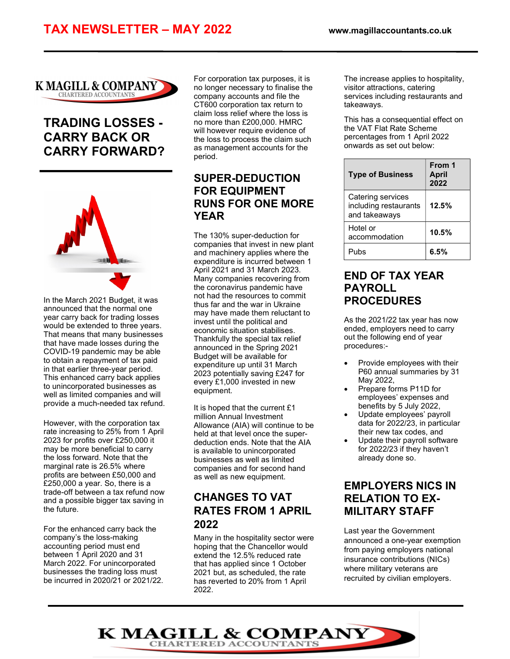

# TRADING LOSSES - CARRY BACK OR CARRY FORWARD?



In the March 2021 Budget, it was announced that the normal one year carry back for trading losses would be extended to three years. That means that many businesses that have made losses during the COVID-19 pandemic may be able to obtain a repayment of tax paid in that earlier three-year period. This enhanced carry back applies to unincorporated businesses as well as limited companies and will provide a much-needed tax refund.

However, with the corporation tax rate increasing to 25% from 1 April 2023 for profits over £250,000 it may be more beneficial to carry the loss forward. Note that the marginal rate is 26.5% where profits are between £50,000 and £250,000 a year. So, there is a trade-off between a tax refund now and a possible bigger tax saving in the future.

For the enhanced carry back the company's the loss-making accounting period must end between 1 April 2020 and 31 March 2022. For unincorporated businesses the trading loss must be incurred in 2020/21 or 2021/22. For corporation tax purposes, it is no longer necessary to finalise the company accounts and file the CT600 corporation tax return to claim loss relief where the loss is no more than £200,000. HMRC will however require evidence of the loss to process the claim such as management accounts for the period.

### SUPER-DEDUCTION FOR EQUIPMENT RUNS FOR ONE MORE YEAR

The 130% super-deduction for companies that invest in new plant and machinery applies where the expenditure is incurred between 1 April 2021 and 31 March 2023. Many companies recovering from the coronavirus pandemic have not had the resources to commit thus far and the war in Ukraine may have made them reluctant to invest until the political and economic situation stabilises. Thankfully the special tax relief announced in the Spring 2021 Budget will be available for expenditure up until 31 March 2023 potentially saving £247 for every £1,000 invested in new equipment.

It is hoped that the current £1 million Annual Investment Allowance (AIA) will continue to be held at that level once the superdeduction ends. Note that the AIA is available to unincorporated businesses as well as limited companies and for second hand as well as new equipment.

# CHANGES TO VAT RATES FROM 1 APRIL 2022

Many in the hospitality sector were hoping that the Chancellor would extend the 12.5% reduced rate that has applied since 1 October 2021 but, as scheduled, the rate has reverted to 20% from 1 April 2022.

The increase applies to hospitality, visitor attractions, catering services including restaurants and takeaways.

This has a consequential effect on the VAT Flat Rate Scheme percentages from 1 April 2022 onwards as set out below:

| <b>Type of Business</b>                                     | From 1<br><b>April</b><br>2022 |
|-------------------------------------------------------------|--------------------------------|
| Catering services<br>including restaurants<br>and takeaways | 12.5%                          |
| Hotel or<br>accommodation                                   | 10.5%                          |
| Pubs                                                        | 6.5%                           |

### END OF TAX YEAR PAYROLL PROCEDURES

As the 2021/22 tax year has now ended, employers need to carry out the following end of year procedures:-

- Provide employees with their P60 annual summaries by 31 May 2022,
- Prepare forms P11D for employees' expenses and benefits by 5 July 2022,
- Update employees' payroll data for 2022/23, in particular their new tax codes, and
- Update their payroll software for 2022/23 if they haven't already done so.

## EMPLOYERS NICS IN RELATION TO EX-MILITARY STAFF

Last year the Government announced a one-year exemption from paying employers national insurance contributions (NICs) where military veterans are recruited by civilian employers.